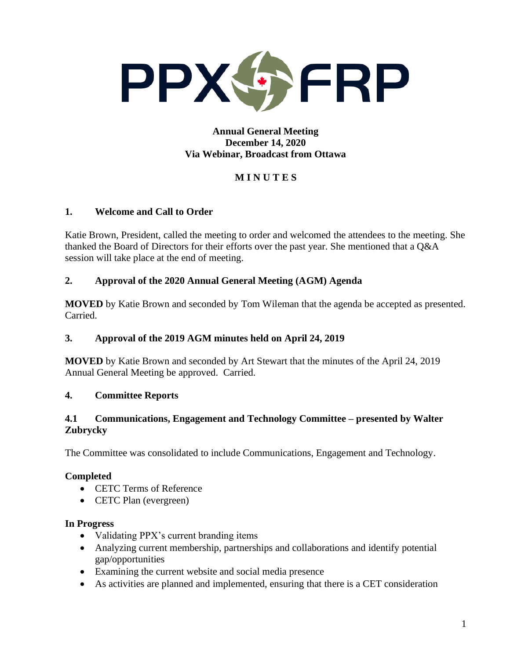

## **Annual General Meeting December 14, 2020 Via Webinar, Broadcast from Ottawa**

# **M I N U T E S**

# **1. Welcome and Call to Order**

Katie Brown, President, called the meeting to order and welcomed the attendees to the meeting. She thanked the Board of Directors for their efforts over the past year. She mentioned that a Q&A session will take place at the end of meeting.

# **2. Approval of the 2020 Annual General Meeting (AGM) Agenda**

**MOVED** by Katie Brown and seconded by Tom Wileman that the agenda be accepted as presented. Carried.

## **3. Approval of the 2019 AGM minutes held on April 24, 2019**

**MOVED** by Katie Brown and seconded by Art Stewart that the minutes of the April 24, 2019 Annual General Meeting be approved. Carried.

## **4. Committee Reports**

# **4.1 Communications, Engagement and Technology Committee – presented by Walter Zubrycky**

The Committee was consolidated to include Communications, Engagement and Technology.

## **Completed**

- CETC Terms of Reference
- CETC Plan (evergreen)

## **In Progress**

- Validating PPX's current branding items
- Analyzing current membership, partnerships and collaborations and identify potential gap/opportunities
- Examining the current website and social media presence
- As activities are planned and implemented, ensuring that there is a CET consideration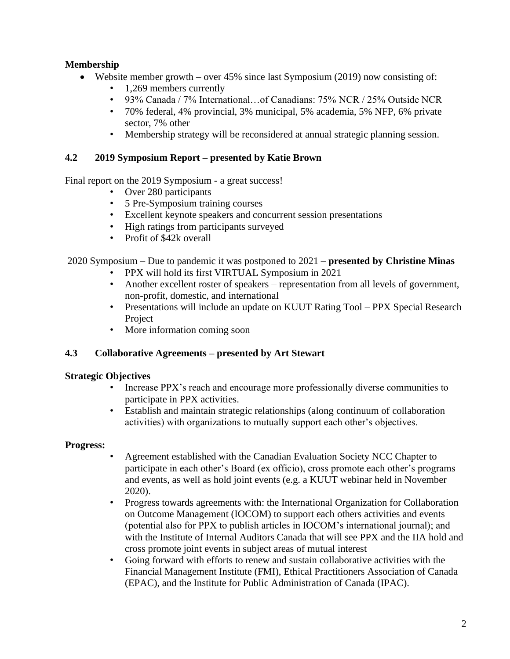# **Membership**

- Website member growth over  $45\%$  since last Symposium (2019) now consisting of:
	- 1,269 members currently
	- 93% Canada / 7% International…of Canadians: 75% NCR / 25% Outside NCR
	- 70% federal, 4% provincial, 3% municipal, 5% academia, 5% NFP, 6% private sector, 7% other
	- Membership strategy will be reconsidered at annual strategic planning session.

## **4.2 2019 Symposium Report – presented by Katie Brown**

Final report on the 2019 Symposium - a great success!

- Over 280 participants
- 5 Pre-Symposium training courses
- Excellent keynote speakers and concurrent session presentations
- High ratings from participants surveyed
- Profit of \$42k overall

2020 Symposium – Due to pandemic it was postponed to 2021 – **presented by Christine Minas**

- PPX will hold its first VIRTUAL Symposium in 2021
- Another excellent roster of speakers representation from all levels of government, non-profit, domestic, and international
- Presentations will include an update on KUUT Rating Tool PPX Special Research Project
- More information coming soon

## **4.3 Collaborative Agreements – presented by Art Stewart**

## **Strategic Objectives**

- Increase PPX's reach and encourage more professionally diverse communities to participate in PPX activities.
- Establish and maintain strategic relationships (along continuum of collaboration activities) with organizations to mutually support each other's objectives.

## **Progress:**

- Agreement established with the Canadian Evaluation Society NCC Chapter to participate in each other's Board (ex officio), cross promote each other's programs and events, as well as hold joint events (e.g. a KUUT webinar held in November 2020).
- Progress towards agreements with: the International Organization for Collaboration on Outcome Management (IOCOM) to support each others activities and events (potential also for PPX to publish articles in IOCOM's international journal); and with the Institute of Internal Auditors Canada that will see PPX and the IIA hold and cross promote joint events in subject areas of mutual interest
- Going forward with efforts to renew and sustain collaborative activities with the Financial Management Institute (FMI), Ethical Practitioners Association of Canada (EPAC), and the Institute for Public Administration of Canada (IPAC).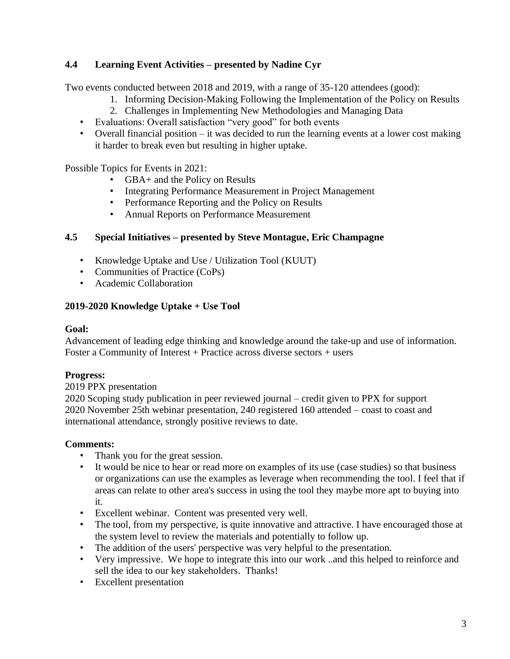# **4.4 Learning Event Activities – presented by Nadine Cyr**

Two events conducted between 2018 and 2019, with a range of 35-120 attendees (good):

- 1. Informing Decision-Making Following the Implementation of the Policy on Results
- 2. Challenges in Implementing New Methodologies and Managing Data
- Evaluations: Overall satisfaction "very good" for both events
- Overall financial position it was decided to run the learning events at a lower cost making it harder to break even but resulting in higher uptake.

Possible Topics for Events in 2021:

- GBA+ and the Policy on Results
- Integrating Performance Measurement in Project Management
- Performance Reporting and the Policy on Results
- Annual Reports on Performance Measurement

# **4.5 Special Initiatives – presented by Steve Montague, Eric Champagne**

- Knowledge Uptake and Use / Utilization Tool (KUUT)
- Communities of Practice (CoPs)
- Academic Collaboration

# **2019-2020 Knowledge Uptake + Use Tool**

## **Goal:**

Advancement of leading edge thinking and knowledge around the take-up and use of information. Foster a Community of Interest + Practice across diverse sectors + users

# **Progress:**

2019 PPX presentation

2020 Scoping study publication in peer reviewed journal – credit given to PPX for support 2020 November 25th webinar presentation, 240 registered 160 attended – coast to coast and international attendance, strongly positive reviews to date.

# **Comments:**

- Thank you for the great session.
- It would be nice to hear or read more on examples of its use (case studies) so that business or organizations can use the examples as leverage when recommending the tool. I feel that if areas can relate to other area's success in using the tool they maybe more apt to buying into it.
- Excellent webinar. Content was presented very well.
- The tool, from my perspective, is quite innovative and attractive. I have encouraged those at the system level to review the materials and potentially to follow up.
- The addition of the users' perspective was very helpful to the presentation.
- Very impressive. We hope to integrate this into our work ..and this helped to reinforce and sell the idea to our key stakeholders. Thanks!
- Excellent presentation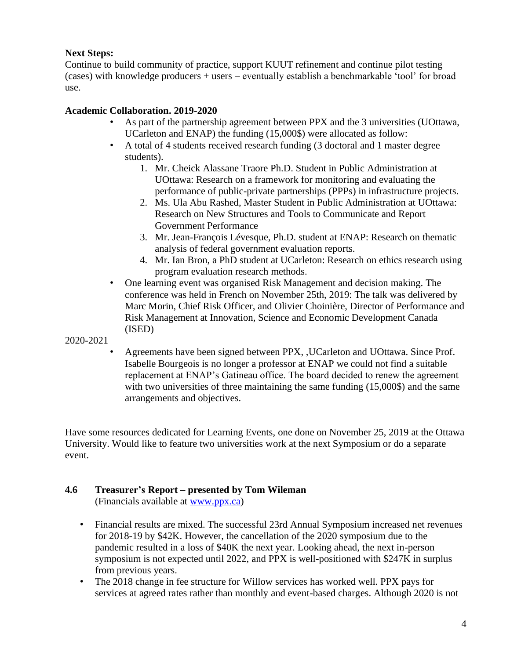# **Next Steps:**

Continue to build community of practice, support KUUT refinement and continue pilot testing (cases) with knowledge producers + users – eventually establish a benchmarkable 'tool' for broad use.

# **Academic Collaboration. 2019-2020**

- As part of the partnership agreement between PPX and the 3 universities (UOttawa, UCarleton and ENAP) the funding (15,000\$) were allocated as follow:
- A total of 4 students received research funding (3 doctoral and 1 master degree students).
	- 1. Mr. Cheick Alassane Traore Ph.D. Student in Public Administration at UOttawa: Research on a framework for monitoring and evaluating the performance of public-private partnerships (PPPs) in infrastructure projects.
	- 2. Ms. Ula Abu Rashed, Master Student in Public Administration at UOttawa: Research on New Structures and Tools to Communicate and Report Government Performance
	- 3. Mr. Jean-François Lévesque, Ph.D. student at ENAP: Research on thematic analysis of federal government evaluation reports.
	- 4. Mr. Ian Bron, a PhD student at UCarleton: Research on ethics research using program evaluation research methods.
- One learning event was organised Risk Management and decision making. The conference was held in French on November 25th, 2019: The talk was delivered by Marc Morin, Chief Risk Officer, and Olivier Choinière, Director of Performance and Risk Management at Innovation, Science and Economic Development Canada (ISED)

2020-2021

• Agreements have been signed between PPX, ,UCarleton and UOttawa. Since Prof. Isabelle Bourgeois is no longer a professor at ENAP we could not find a suitable replacement at ENAP's Gatineau office. The board decided to renew the agreement with two universities of three maintaining the same funding (15,000\$) and the same arrangements and objectives.

Have some resources dedicated for Learning Events, one done on November 25, 2019 at the Ottawa University. Would like to feature two universities work at the next Symposium or do a separate event.

# **4.6 Treasurer's Report – presented by Tom Wileman**

(Financials available at [www.ppx.ca\)](http://www.ppx.ca/)

- Financial results are mixed. The successful 23rd Annual Symposium increased net revenues for 2018-19 by \$42K. However, the cancellation of the 2020 symposium due to the pandemic resulted in a loss of \$40K the next year. Looking ahead, the next in-person symposium is not expected until 2022, and PPX is well-positioned with \$247K in surplus from previous years.
- The 2018 change in fee structure for Willow services has worked well. PPX pays for services at agreed rates rather than monthly and event-based charges. Although 2020 is not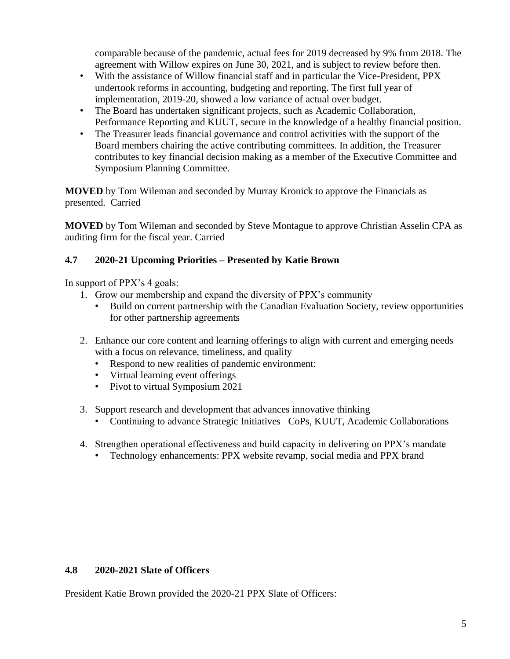comparable because of the pandemic, actual fees for 2019 decreased by 9% from 2018. The agreement with Willow expires on June 30, 2021, and is subject to review before then.

- With the assistance of Willow financial staff and in particular the Vice-President, PPX undertook reforms in accounting, budgeting and reporting. The first full year of implementation, 2019-20, showed a low variance of actual over budget.
- The Board has undertaken significant projects, such as Academic Collaboration, Performance Reporting and KUUT, secure in the knowledge of a healthy financial position.
- The Treasurer leads financial governance and control activities with the support of the Board members chairing the active contributing committees. In addition, the Treasurer contributes to key financial decision making as a member of the Executive Committee and Symposium Planning Committee.

**MOVED** by Tom Wileman and seconded by Murray Kronick to approve the Financials as presented. Carried

**MOVED** by Tom Wileman and seconded by Steve Montague to approve Christian Asselin CPA as auditing firm for the fiscal year. Carried

# **4.7 2020-21 Upcoming Priorities – Presented by Katie Brown**

In support of PPX's 4 goals:

- 1. Grow our membership and expand the diversity of PPX's community
	- Build on current partnership with the Canadian Evaluation Society, review opportunities for other partnership agreements
- 2. Enhance our core content and learning offerings to align with current and emerging needs with a focus on relevance, timeliness, and quality
	- Respond to new realities of pandemic environment:
	- Virtual learning event offerings
	- Pivot to virtual Symposium 2021
- 3. Support research and development that advances innovative thinking
	- Continuing to advance Strategic Initiatives –CoPs, KUUT, Academic Collaborations
- 4. Strengthen operational effectiveness and build capacity in delivering on PPX's mandate
	- Technology enhancements: PPX website revamp, social media and PPX brand

## **4.8 2020-2021 Slate of Officers**

President Katie Brown provided the 2020-21 PPX Slate of Officers: